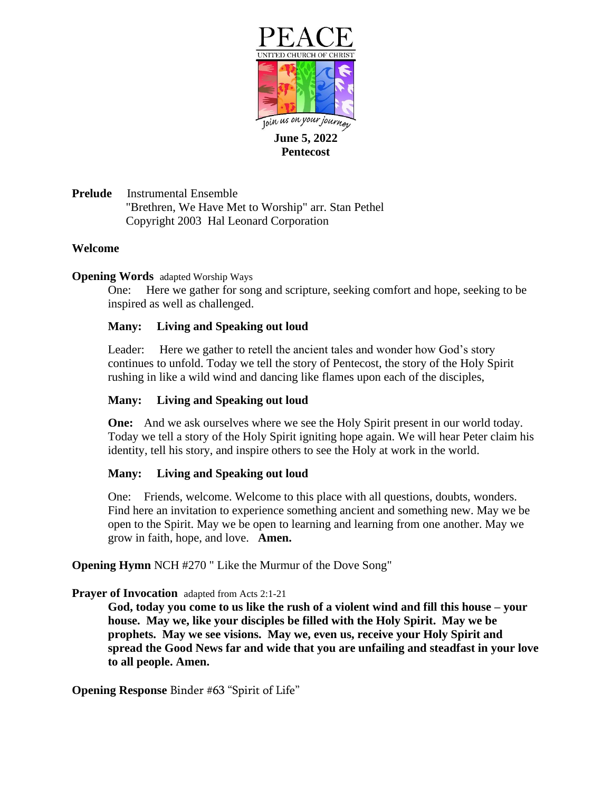

**Pentecost**

**Prelude** Instrumental Ensemble "Brethren, We Have Met to Worship" arr. Stan Pethel Copyright 2003 Hal Leonard Corporation

## **Welcome**

### **Opening Words** adapted Worship Ways

One: Here we gather for song and scripture, seeking comfort and hope, seeking to be inspired as well as challenged.

## **Many: Living and Speaking out loud**

Leader: Here we gather to retell the ancient tales and wonder how God's story continues to unfold. Today we tell the story of Pentecost, the story of the Holy Spirit rushing in like a wild wind and dancing like flames upon each of the disciples,

## **Many: Living and Speaking out loud**

**One:** And we ask ourselves where we see the Holy Spirit present in our world today. Today we tell a story of the Holy Spirit igniting hope again. We will hear Peter claim his identity, tell his story, and inspire others to see the Holy at work in the world.

### **Many: Living and Speaking out loud**

One: Friends, welcome. Welcome to this place with all questions, doubts, wonders. Find here an invitation to experience something ancient and something new. May we be open to the Spirit. May we be open to learning and learning from one another. May we grow in faith, hope, and love. **Amen.**

**Opening Hymn** NCH #270 " Like the Murmur of the Dove Song"

### **Prayer of Invocation** adapted from Acts 2:1-21

**God, today you come to us like the rush of a violent wind and fill this house – your house. May we, like your disciples be filled with the Holy Spirit. May we be prophets. May we see visions. May we, even us, receive your Holy Spirit and spread the Good News far and wide that you are unfailing and steadfast in your love to all people. Amen.**

**Opening Response** Binder #63 "Spirit of Life"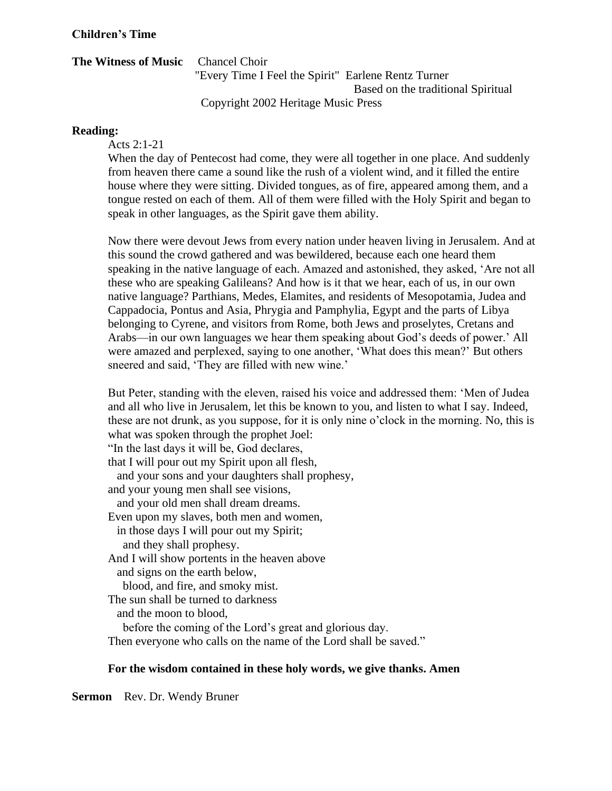### **Children's Time**

# **The Witness of Music** Chancel Choir

"Every Time I Feel the Spirit" Earlene Rentz Turner Based on the traditional Spiritual Copyright 2002 Heritage Music Press

#### **Reading:**

Acts 2:1-21

When the day of Pentecost had come, they were all together in one place. And suddenly from heaven there came a sound like the rush of a violent wind, and it filled the entire house where they were sitting. Divided tongues, as of fire, appeared among them, and a tongue rested on each of them. All of them were filled with the Holy Spirit and began to speak in other languages, as the Spirit gave them ability.

Now there were devout Jews from every nation under heaven living in Jerusalem. And at this sound the crowd gathered and was bewildered, because each one heard them speaking in the native language of each. Amazed and astonished, they asked, 'Are not all these who are speaking Galileans? And how is it that we hear, each of us, in our own native language? Parthians, Medes, Elamites, and residents of Mesopotamia, Judea and Cappadocia, Pontus and Asia, Phrygia and Pamphylia, Egypt and the parts of Libya belonging to Cyrene, and visitors from Rome, both Jews and proselytes, Cretans and Arabs—in our own languages we hear them speaking about God's deeds of power.' All were amazed and perplexed, saying to one another, 'What does this mean?' But others sneered and said, 'They are filled with new wine.'

But Peter, standing with the eleven, raised his voice and addressed them: 'Men of Judea and all who live in Jerusalem, let this be known to you, and listen to what I say. Indeed, these are not drunk, as you suppose, for it is only nine o'clock in the morning. No, this is what was spoken through the prophet Joel: "In the last days it will be, God declares, that I will pour out my Spirit upon all flesh, and your sons and your daughters shall prophesy, and your young men shall see visions, and your old men shall dream dreams. Even upon my slaves, both men and women, in those days I will pour out my Spirit; and they shall prophesy. And I will show portents in the heaven above and signs on the earth below, blood, and fire, and smoky mist. The sun shall be turned to darkness and the moon to blood, before the coming of the Lord's great and glorious day. Then everyone who calls on the name of the Lord shall be saved."

#### **For the wisdom contained in these holy words, we give thanks. Amen**

**Sermon** Rev. Dr. Wendy Bruner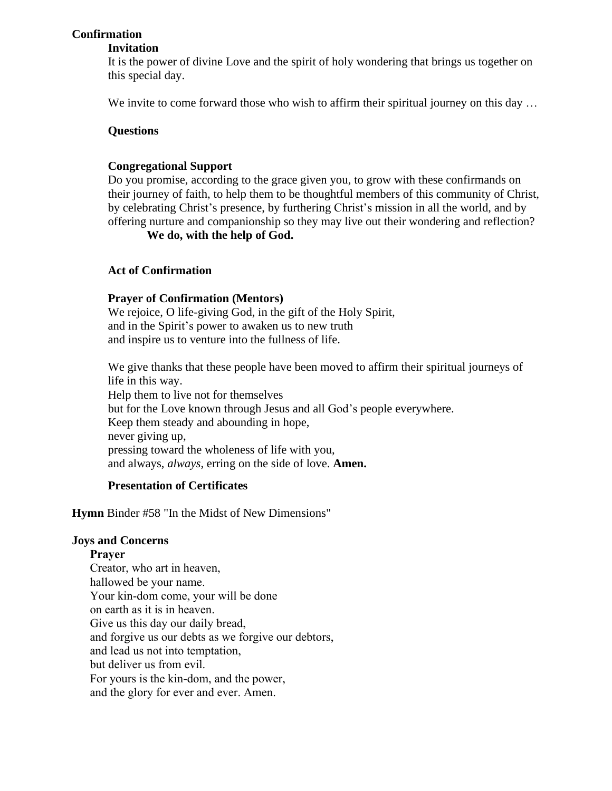# **Confirmation**

## **Invitation**

It is the power of divine Love and the spirit of holy wondering that brings us together on this special day.

We invite to come forward those who wish to affirm their spiritual journey on this day ...

## **Questions**

## **Congregational Support**

Do you promise, according to the grace given you, to grow with these confirmands on their journey of faith, to help them to be thoughtful members of this community of Christ, by celebrating Christ's presence, by furthering Christ's mission in all the world, and by offering nurture and companionship so they may live out their wondering and reflection?

# **We do, with the help of God.**

# **Act of Confirmation**

### **Prayer of Confirmation (Mentors)**

We rejoice, O life-giving God, in the gift of the Holy Spirit, and in the Spirit's power to awaken us to new truth and inspire us to venture into the fullness of life.

We give thanks that these people have been moved to affirm their spiritual journeys of life in this way. Help them to live not for themselves but for the Love known through Jesus and all God's people everywhere. Keep them steady and abounding in hope, never giving up, pressing toward the wholeness of life with you, and always, *always*, erring on the side of love. **Amen.**

### **Presentation of Certificates**

**Hymn** Binder #58 "In the Midst of New Dimensions"

### **Joys and Concerns**

## **Prayer** Creator, who art in heaven, hallowed be your name. Your kin-dom come, your will be done on earth as it is in heaven. Give us this day our daily bread, and forgive us our debts as we forgive our debtors, and lead us not into temptation, but deliver us from evil. For yours is the kin-dom, and the power, and the glory for ever and ever. Amen.